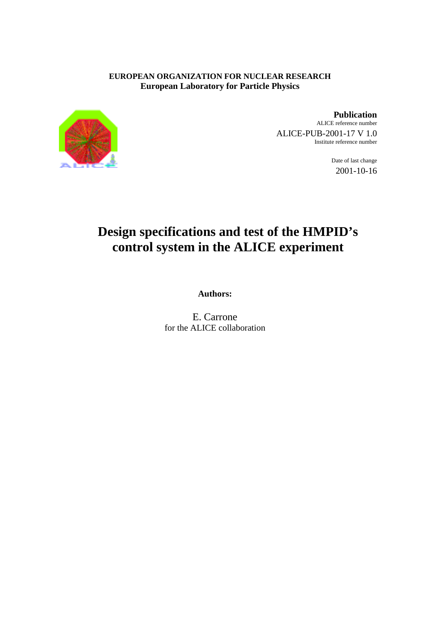# **EUROPEAN ORGANIZATION FOR NUCLEAR RESEARCH European Laboratory for Particle Physics**



**Publication** ALICE reference number ALICE-PUB-2001-17 V 1.0 Institute reference number

> Date of last change 2001-10-16

# **Design specifications and test of the HMPID's control system in the ALICE experiment**

**Authors:**

E. Carrone for the ALICE collaboration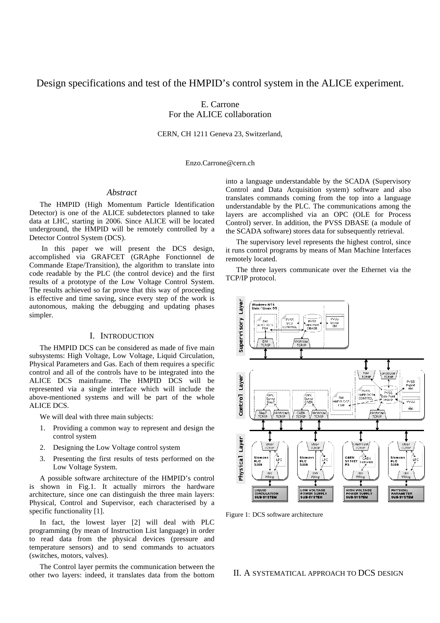# Design specifications and test of the HMPID's control system in the ALICE experiment.

E. Carrone For the ALICE collaboration

CERN, CH 1211 Geneva 23, Switzerland,

Enzo.Carrone@cern.ch

## *Abstract*

The HMPID (High Momentum Particle Identification Detector) is one of the ALICE subdetectors planned to take data at LHC, starting in 2006. Since ALICE will be located underground, the HMPID will be remotely controlled by a Detector Control System (DCS).

 In this paper we will present the DCS design, accomplished via GRAFCET (GRAphe Fonctionnel de Commande Etape/Transition), the algorithm to translate into code readable by the PLC (the control device) and the first results of a prototype of the Low Voltage Control System. The results achieved so far prove that this way of proceeding is effective and time saving, since every step of the work is autonomous, making the debugging and updating phases simpler.

### I. INTRODUCTION

The HMPID DCS can be considered as made of five main subsystems: High Voltage, Low Voltage, Liquid Circulation, Physical Parameters and Gas. Each of them requires a specific control and all of the controls have to be integrated into the ALICE DCS mainframe. The HMPID DCS will be represented via a single interface which will include the above-mentioned systems and will be part of the whole ALICE DCS.

We will deal with three main subjects:

- 1. Providing a common way to represent and design the control system
- 2. Designing the Low Voltage control system
- 3. Presenting the first results of tests performed on the Low Voltage System.

A possible software architecture of the HMPID's control is shown in Fig.1. It actually mirrors the hardware architecture, since one can distinguish the three main layers: Physical, Control and Supervisor, each characterised by a specific functionality [1].

In fact, the lowest layer [2] will deal with PLC programming (by mean of Instruction List language) in order to read data from the physical devices (pressure and temperature sensors) and to send commands to actuators (switches, motors, valves).

The Control layer permits the communication between the other two layers: indeed, it translates data from the bottom into a language understandable by the SCADA (Supervisory Control and Data Acquisition system) software and also translates commands coming from the top into a language understandable by the PLC. The communications among the layers are accomplished via an OPC (OLE for Process Control) server. In addition, the PVSS DBASE (a module of the SCADA software) stores data for subsequently retrieval.

The supervisory level represents the highest control, since it runs control programs by means of Man Machine Interfaces remotely located.

The three layers communicate over the Ethernet via the TCP/IP protocol.



Figure 1: DCS software architecture

#### II. A SYSTEMATICAL APPROACH TO DCS DESIGN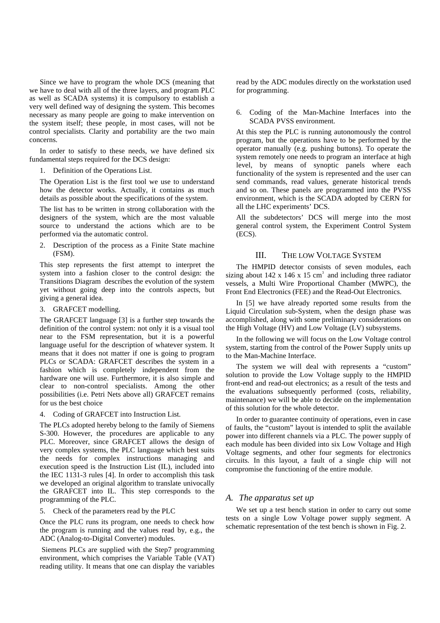Since we have to program the whole DCS (meaning that we have to deal with all of the three layers, and program PLC as well as SCADA systems) it is compulsory to establish a very well defined way of designing the system. This becomes necessary as many people are going to make intervention on the system itself; these people, in most cases, will not be control specialists. Clarity and portability are the two main concerns.

In order to satisfy to these needs, we have defined six fundamental steps required for the DCS design:

1. Definition of the Operations List.

The Operation List is the first tool we use to understand how the detector works. Actually, it contains as much details as possible about the specifications of the system.

The list has to be written in strong collaboration with the designers of the system, which are the most valuable source to understand the actions which are to be performed via the automatic control.

2. Description of the process as a Finite State machine (FSM).

This step represents the first attempt to interpret the system into a fashion closer to the control design: the Transitions Diagram describes the evolution of the system yet without going deep into the controls aspects, but giving a general idea.

3. GRAFCET modelling.

The GRAFCET language [3] is a further step towards the definition of the control system: not only it is a visual tool near to the FSM representation, but it is a powerful language useful for the description of whatever system. It means that it does not matter if one is going to program PLCs or SCADA: GRAFCET describes the system in a fashion which is completely independent from the hardware one will use. Furthermore, it is also simple and clear to non-control specialists. Among the other possibilities (i.e. Petri Nets above all) GRAFCET remains for us the best choice

4. Coding of GRAFCET into Instruction List.

The PLCs adopted hereby belong to the family of Siemens S-300. However, the procedures are applicable to any PLC. Moreover, since GRAFCET allows the design of very complex systems, the PLC language which best suits the needs for complex instructions managing and execution speed is the Instruction List (IL), included into the IEC 1131-3 rules [4]. In order to accomplish this task we developed an original algorithm to translate univocally the GRAFCET into IL. This step corresponds to the programming of the PLC.

5. Check of the parameters read by the PLC

Once the PLC runs its program, one needs to check how the program is running and the values read by, e.g., the ADC (Analog-to-Digital Converter) modules.

 Siemens PLCs are supplied with the Step7 programming environment, which comprises the Variable Table (VAT) reading utility. It means that one can display the variables read by the ADC modules directly on the workstation used for programming.

6. Coding of the Man-Machine Interfaces into the SCADA PVSS environment.

At this step the PLC is running autonomously the control program, but the operations have to be performed by the operator manually (e.g. pushing buttons). To operate the system remotely one needs to program an interface at high level, by means of synoptic panels where each functionality of the system is represented and the user can send commands, read values, generate historical trends and so on. These panels are programmed into the PVSS environment, which is the SCADA adopted by CERN for all the LHC experiments' DCS.

All the subdetectors' DCS will merge into the most general control system, the Experiment Control System (ECS).

### III. THE LOW VOLTAGE SYSTEM

The HMPID detector consists of seven modules, each sizing about 142 x 146 x 15 cm<sup>3</sup> and including three radiator vessels, a Multi Wire Proportional Chamber (MWPC), the Front End Electronics (FEE) and the Read-Out Electronics.

In [5] we have already reported some results from the Liquid Circulation sub-System, when the design phase was accomplished, along with some preliminary considerations on the High Voltage (HV) and Low Voltage (LV) subsystems.

In the following we will focus on the Low Voltage control system, starting from the control of the Power Supply units up to the Man-Machine Interface.

The system we will deal with represents a "custom" solution to provide the Low Voltage supply to the HMPID front-end and read-out electronics; as a result of the tests and the evaluations subsequently performed (costs, reliability, maintenance) we will be able to decide on the implementation of this solution for the whole detector.

In order to guarantee continuity of operations, even in case of faults, the "custom" layout is intended to split the available power into different channels via a PLC. The power supply of each module has been divided into six Low Voltage and High Voltage segments, and other four segments for electronics circuits. In this layout, a fault of a single chip will not compromise the functioning of the entire module.

## *A. The apparatus set up*

We set up a test bench station in order to carry out some tests on a single Low Voltage power supply segment. A schematic representation of the test bench is shown in Fig. 2.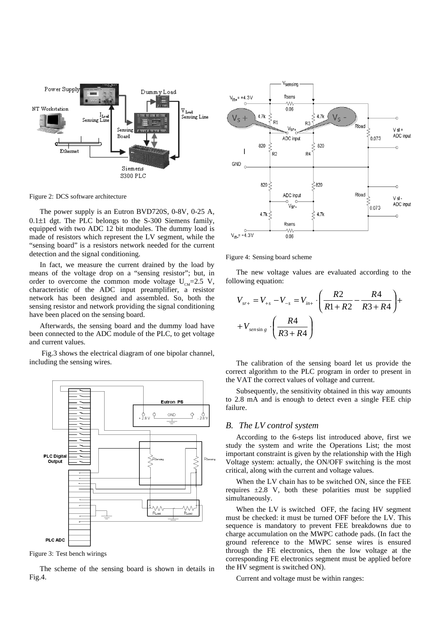

Figure 2: DCS software architecture

The power supply is an Eutron BVD720S, 0-8V, 0-25 A,  $0.1\pm1$  dgt. The PLC belongs to the S-300 Siemens family, equipped with two ADC 12 bit modules. The dummy load is made of resistors which represent the LV segment, while the "sensing board" is a resistors network needed for the current detection and the signal conditioning.

In fact, we measure the current drained by the load by means of the voltage drop on a "sensing resistor"; but, in order to overcome the common mode voltage  $U_{\text{cm}}=2.5$  V, characteristic of the ADC input preamplifier, a resistor network has been designed and assembled. So, both the sensing resistor and network providing the signal conditioning have been placed on the sensing board.

Afterwards, the sensing board and the dummy load have been connected to the ADC module of the PLC, to get voltage and current values.

 Fig.3 shows the electrical diagram of one bipolar channel, including the sensing wires.



Figure 3: Test bench wirings

The scheme of the sensing board is shown in details in Fig.4.



Figure 4: Sensing board scheme

The new voltage values are evaluated according to the following equation:

$$
V_{sr+} = V_{+s} - V_{-s} = V_{in+} \cdot \left(\frac{R2}{R1 + R2} - \frac{R4}{R3 + R4}\right) + V_{sensing} \cdot \left(\frac{R4}{R3 + R4}\right)
$$

The calibration of the sensing board let us provide the correct algorithm to the PLC program in order to present in the VAT the correct values of voltage and current.

Subsequently, the sensitivity obtained in this way amounts to 2.8 mA and is enough to detect even a single FEE chip failure.

#### *B. The LV control system*

According to the 6-steps list introduced above, first we study the system and write the Operations List; the most important constraint is given by the relationship with the High Voltage system: actually, the ON/OFF switching is the most critical, along with the current and voltage values.

When the LV chain has to be switched ON, since the FEE requires  $\pm 2.8$  V, both these polarities must be supplied simultaneously.

When the LV is switched OFF, the facing HV segment must be checked: it must be turned OFF before the LV. This sequence is mandatory to prevent FEE breakdowns due to charge accumulation on the MWPC cathode pads. (In fact the ground reference to the MWPC sense wires is ensured through the FE electronics, then the low voltage at the corresponding FE electronics segment must be applied before the HV segment is switched ON).

Current and voltage must be within ranges: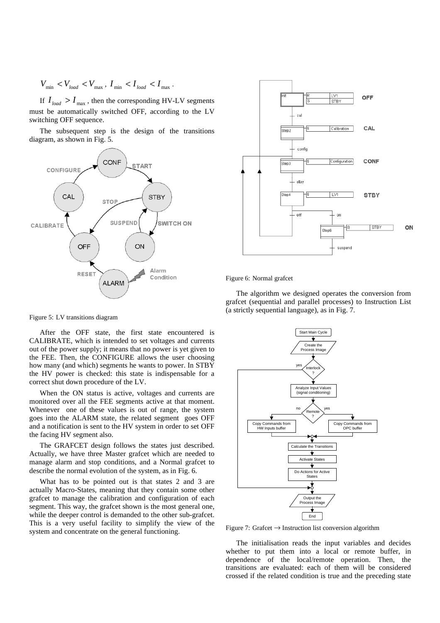$$
V_{\rm min} \, < V_{load} \, < V_{\rm max} \, , \, I_{\rm min} \, < I_{load} \, < I_{\rm max} \, .
$$

If  $I_{load} > I_{max}$ , then the corresponding HV-LV segments must be automatically switched OFF, according to the LV switching OFF sequence.

The subsequent step is the design of the transitions diagram, as shown in Fig. 5.





Figure 6: Normal grafcet

The algorithm we designed operates the conversion from grafcet (sequential and parallel processes) to Instruction List (a strictly sequential language), as in Fig. 7.

Figure 5: LV transitions diagram

After the OFF state, the first state encountered is CALIBRATE, which is intended to set voltages and currents out of the power supply; it means that no power is yet given to the FEE. Then, the CONFIGURE allows the user choosing how many (and which) segments he wants to power. In STBY the HV power is checked: this state is indispensable for a correct shut down procedure of the LV.

When the ON status is active, voltages and currents are monitored over all the FEE segments active at that moment. Whenever one of these values is out of range, the system goes into the ALARM state, the related segment goes OFF and a notification is sent to the HV system in order to set OFF the facing HV segment also.

The GRAFCET design follows the states just described. Actually, we have three Master grafcet which are needed to manage alarm and stop conditions, and a Normal grafcet to describe the normal evolution of the system, as in Fig. 6.

What has to be pointed out is that states 2 and 3 are actually Macro-States, meaning that they contain some other grafcet to manage the calibration and configuration of each segment. This way, the grafcet shown is the most general one. while the deeper control is demanded to the other sub-grafcet. This is a very useful facility to simplify the view of the system and concentrate on the general functioning.



Figure 7: Grafcet  $\rightarrow$  Instruction list conversion algorithm

The initialisation reads the input variables and decides whether to put them into a local or remote buffer, in dependence of the local/remote operation. Then, the transitions are evaluated: each of them will be considered crossed if the related condition is true and the preceding state